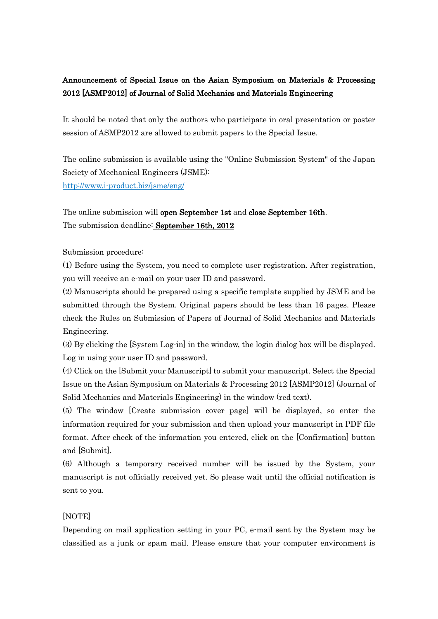## Announcement of Special Issue on the Asian Symposium on Materials & Processing 2012 [ASMP2012] of Journal of Solid Mechanics and Materials Engineering

It should be noted that only the authors who participate in oral presentation or poster session of ASMP2012 are allowed to submit papers to the Special Issue.

The online submission is available using the "Online Submission System" of the Japan Society of Mechanical Engineers (JSME): http://www.i-product.biz/jsme/eng/

The online submission will open September 1st and close September 16th. The submission deadline: September 16th, 2012

Submission procedure:

(1) Before using the System, you need to complete user registration. After registration, you will receive an e-mail on your user ID and password.

(2) Manuscripts should be prepared using a specific template supplied by JSME and be submitted through the System. Original papers should be less than 16 pages. Please check the Rules on Submission of Papers of Journal of Solid Mechanics and Materials Engineering.

(3) By clicking the [System Log-in] in the window, the login dialog box will be displayed. Log in using your user ID and password.

(4) Click on the [Submit your Manuscript] to submit your manuscript. Select the Special Issue on the Asian Symposium on Materials & Processing 2012 [ASMP2012] (Journal of Solid Mechanics and Materials Engineering) in the window (red text).

(5) The window [Create submission cover page] will be displayed, so enter the information required for your submission and then upload your manuscript in PDF file format. After check of the information you entered, click on the [Confirmation] button and [Submit].

(6) Although a temporary received number will be issued by the System, your manuscript is not officially received yet. So please wait until the official notification is sent to you.

## [NOTE]

Depending on mail application setting in your PC, e-mail sent by the System may be classified as a junk or spam mail. Please ensure that your computer environment is